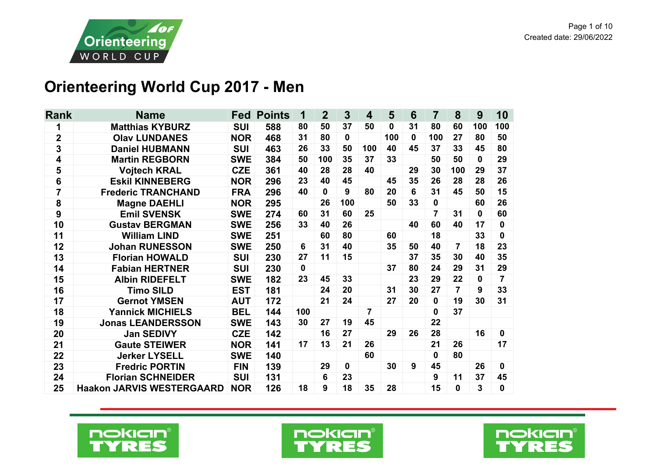

## **Orienteering World Cup 2017 - Men**

| <b>Rank</b>    | <b>Name</b>                      | <b>Fed</b> | <b>Points</b> | 1           | $\overline{2}$ | 3            | $\overline{\mathbf{4}}$ | 5            | 6            | $\overline{7}$ | 8              | 9   | 10          |
|----------------|----------------------------------|------------|---------------|-------------|----------------|--------------|-------------------------|--------------|--------------|----------------|----------------|-----|-------------|
| 1              | <b>Matthias KYBURZ</b>           | <b>SUI</b> | 588           | 80          | 50             | 37           | 50                      | $\mathbf{0}$ | 31           | 80             | 60             | 100 | 100         |
| $\mathbf 2$    | <b>Olav LUNDANES</b>             | <b>NOR</b> | 468           | 31          | 80             | $\mathbf 0$  |                         | 100          | $\mathbf{0}$ | 100            | 27             | 80  | 50          |
| 3              | <b>Daniel HUBMANN</b>            | <b>SUI</b> | 463           | 26          | 33             | 50           | 100                     | 40           | 45           | 37             | 33             | 45  | 80          |
| 4              | <b>Martin REGBORN</b>            | <b>SWE</b> | 384           | 50          | 100            | 35           | 37                      | 33           |              | 50             | 50             | 0   | 29          |
| 5              | <b>Vojtech KRAL</b>              | <b>CZE</b> | 361           | 40          | 28             | 28           | 40                      |              | 29           | 30             | 100            | 29  | 37          |
| $6\phantom{1}$ | <b>Eskil KINNEBERG</b>           | <b>NOR</b> | 296           | 23          | 40             | 45           |                         | 45           | 35           | 26             | 28             | 28  | 26          |
| 7              | <b>Frederic TRANCHAND</b>        | <b>FRA</b> | 296           | 40          | $\mathbf{0}$   | 9            | 80                      | 20           | 6            | 31             | 45             | 50  | 15          |
| 8              | <b>Magne DAEHLI</b>              | <b>NOR</b> | 295           |             | 26             | 100          |                         | 50           | 33           | $\mathbf 0$    |                | 60  | 26          |
| 9              | <b>Emil SVENSK</b>               | <b>SWE</b> | 274           | 60          | 31             | 60           | 25                      |              |              | 7              | 31             | 0   | 60          |
| 10             | <b>Gustav BERGMAN</b>            | <b>SWE</b> | 256           | 33          | 40             | 26           |                         |              | 40           | 60             | 40             | 17  | $\bf{0}$    |
| 11             | <b>William LIND</b>              | <b>SWE</b> | 251           |             | 60             | 80           |                         | 60           |              | 18             |                | 33  | $\bf{0}$    |
| 12             | <b>Johan RUNESSON</b>            | <b>SWE</b> | 250           | 6           | 31             | 40           |                         | 35           | 50           | 40             | $\overline{7}$ | 18  | 23          |
| 13             | <b>Florian HOWALD</b>            | <b>SUI</b> | 230           | 27          | 11             | 15           |                         |              | 37           | 35             | 30             | 40  | 35          |
| 14             | <b>Fabian HERTNER</b>            | <b>SUI</b> | 230           | $\mathbf 0$ |                |              |                         | 37           | 80           | 24             | 29             | 31  | 29          |
| 15             | <b>Albin RIDEFELT</b>            | <b>SWE</b> | 182           | 23          | 45             | 33           |                         |              | 23           | 29             | 22             | 0   | 7           |
| 16             | <b>Timo SILD</b>                 | <b>EST</b> | 181           |             | 24             | 20           |                         | 31           | 30           | 27             | $\overline{7}$ | 9   | 33          |
| 17             | <b>Gernot YMSEN</b>              | <b>AUT</b> | 172           |             | 21             | 24           |                         | 27           | 20           | $\mathbf 0$    | 19             | 30  | 31          |
| 18             | <b>Yannick MICHIELS</b>          | <b>BEL</b> | 144           | 100         |                |              | 7                       |              |              | $\bf{0}$       | 37             |     |             |
| 19             | <b>Jonas LEANDERSSON</b>         | <b>SWE</b> | 143           | 30          | 27             | 19           | 45                      |              |              | 22             |                |     |             |
| 20             | <b>Jan SEDIVY</b>                | <b>CZE</b> | 142           |             | 16             | 27           |                         | 29           | 26           | 28             |                | 16  | $\mathbf 0$ |
| 21             | <b>Gaute STEIWER</b>             | <b>NOR</b> | 141           | 17          | 13             | 21           | 26                      |              |              | 21             | 26             |     | 17          |
| 22             | <b>Jerker LYSELL</b>             | <b>SWE</b> | 140           |             |                |              | 60                      |              |              | $\mathbf{0}$   | 80             |     |             |
| 23             | <b>Fredric PORTIN</b>            | <b>FIN</b> | 139           |             | 29             | $\mathbf{0}$ |                         | 30           | 9            | 45             |                | 26  | 0           |
| 24             | <b>Florian SCHNEIDER</b>         | <b>SUI</b> | 131           |             | 6              | 23           |                         |              |              | 9              | 11             | 37  | 45          |
| 25             | <b>Haakon JARVIS WESTERGAARD</b> | <b>NOR</b> | 126           | 18          | 9              | 18           | 35                      | 28           |              | 15             | 0              | 3   | $\bf{0}$    |





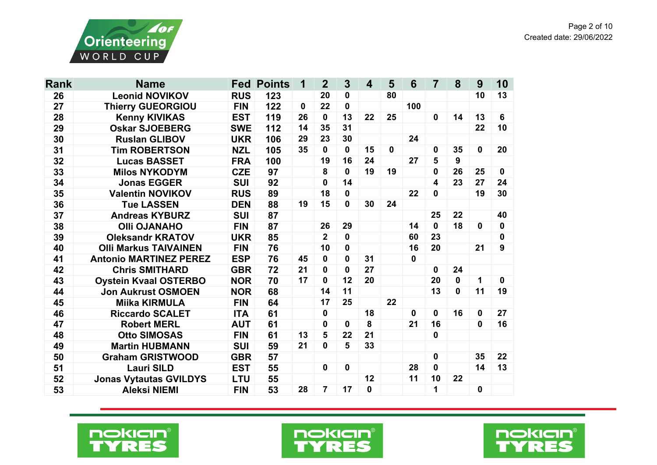

| <b>Rank</b> | <b>Name</b>                   | Fed        | <b>Points</b> | 1  | $\overline{2}$ | $\mathbf{3}$ | $\overline{\mathbf{4}}$ | 5  | 6            | 7  | 8           | 9  | 10               |
|-------------|-------------------------------|------------|---------------|----|----------------|--------------|-------------------------|----|--------------|----|-------------|----|------------------|
| 26          | <b>Leonid NOVIKOV</b>         | <b>RUS</b> | 123           |    | 20             | 0            |                         | 80 |              |    |             | 10 | 13               |
| 27          | <b>Thierry GUEORGIOU</b>      | <b>FIN</b> | 122           | 0  | 22             | 0            |                         |    | 100          |    |             |    |                  |
| 28          | <b>Kenny KIVIKAS</b>          | <b>EST</b> | 119           | 26 | $\mathbf 0$    | 13           | 22                      | 25 |              | 0  | 14          | 13 | 6                |
| 29          | <b>Oskar SJOEBERG</b>         | <b>SWE</b> | 112           | 14 | 35             | 31           |                         |    |              |    |             | 22 | 10               |
| 30          | <b>Ruslan GLIBOV</b>          | <b>UKR</b> | 106           | 29 | 23             | 30           |                         |    | 24           |    |             |    |                  |
| 31          | <b>Tim ROBERTSON</b>          | <b>NZL</b> | 105           | 35 | $\mathbf 0$    | 0            | 15                      | 0  |              | 0  | 35          | 0  | 20               |
| 32          | <b>Lucas BASSET</b>           | <b>FRA</b> | 100           |    | 19             | 16           | 24                      |    | 27           | 5  | 9           |    |                  |
| 33          | <b>Milos NYKODYM</b>          | <b>CZE</b> | 97            |    | 8              | 0            | 19                      | 19 |              | 0  | 26          | 25 | $\mathbf 0$      |
| 34          | <b>Jonas EGGER</b>            | <b>SUI</b> | 92            |    | 0              | 14           |                         |    |              | 4  | 23          | 27 | 24               |
| 35          | <b>Valentin NOVIKOV</b>       | <b>RUS</b> | 89            |    | 18             | 0            |                         |    | 22           | 0  |             | 19 | 30               |
| 36          | <b>Tue LASSEN</b>             | <b>DEN</b> | 88            | 19 | 15             | 0            | 30                      | 24 |              |    |             |    |                  |
| 37          | <b>Andreas KYBURZ</b>         | <b>SUI</b> | 87            |    |                |              |                         |    |              | 25 | 22          |    | 40               |
| 38          | <b>OIII OJANAHO</b>           | <b>FIN</b> | 87            |    | 26             | 29           |                         |    | 14           | 0  | 18          | 0  | $\boldsymbol{0}$ |
| 39          | <b>Oleksandr KRATOV</b>       | <b>UKR</b> | 85            |    | $\overline{2}$ | 0            |                         |    | 60           | 23 |             |    | $\bf{0}$         |
| 40          | <b>Olli Markus TAIVAINEN</b>  | <b>FIN</b> | 76            |    | 10             | 0            |                         |    | 16           | 20 |             | 21 | 9                |
| 41          | <b>Antonio MARTINEZ PEREZ</b> | <b>ESP</b> | 76            | 45 | 0              | 0            | 31                      |    | $\mathbf{0}$ |    |             |    |                  |
| 42          | <b>Chris SMITHARD</b>         | <b>GBR</b> | 72            | 21 | 0              | 0            | 27                      |    |              | 0  | 24          |    |                  |
| 43          | <b>Oystein Kvaal OSTERBO</b>  | <b>NOR</b> | 70            | 17 | 0              | 12           | 20                      |    |              | 20 | $\mathbf 0$ | 1  | $\mathbf 0$      |
| 44          | <b>Jon Aukrust OSMOEN</b>     | <b>NOR</b> | 68            |    | 14             | 11           |                         |    |              | 13 | $\mathbf 0$ | 11 | 19               |
| 45          | <b>Miika KIRMULA</b>          | <b>FIN</b> | 64            |    | 17             | 25           |                         | 22 |              |    |             |    |                  |
| 46          | <b>Riccardo SCALET</b>        | <b>ITA</b> | 61            |    | 0              |              | 18                      |    | $\mathbf{0}$ | 0  | 16          | 0  | 27               |
| 47          | <b>Robert MERL</b>            | <b>AUT</b> | 61            |    | 0              | 0            | 8                       |    | 21           | 16 |             | 0  | 16               |
| 48          | <b>Otto SIMOSAS</b>           | <b>FIN</b> | 61            | 13 | 5              | 22           | 21                      |    |              | 0  |             |    |                  |
| 49          | <b>Martin HUBMANN</b>         | <b>SUI</b> | 59            | 21 | 0              | 5            | 33                      |    |              |    |             |    |                  |
| 50          | <b>Graham GRISTWOOD</b>       | <b>GBR</b> | 57            |    |                |              |                         |    |              | 0  |             | 35 | 22               |
| 51          | <b>Lauri SILD</b>             | <b>EST</b> | 55            |    | $\mathbf 0$    | $\mathbf 0$  |                         |    | 28           | 0  |             | 14 | 13               |
| 52          | <b>Jonas Vytautas GVILDYS</b> | <b>LTU</b> | 55            |    |                |              | 12                      |    | 11           | 10 | 22          |    |                  |
| 53          | <b>Aleksi NIEMI</b>           | <b>FIN</b> | 53            | 28 | $\overline{7}$ | 17           | 0                       |    |              | 1  |             | 0  |                  |





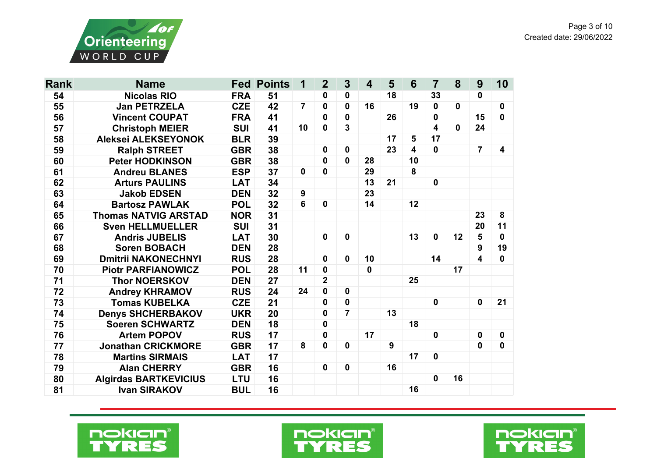



| <b>Rank</b> | <b>Name</b>                  |            | <b>Fed Points</b> | 1              | $\overline{2}$          | $\mathbf{3}$   | $\overline{\mathbf{4}}$ | 5  | 6                       | 7           | 8            | 9              | 10           |
|-------------|------------------------------|------------|-------------------|----------------|-------------------------|----------------|-------------------------|----|-------------------------|-------------|--------------|----------------|--------------|
| 54          | <b>Nicolas RIO</b>           | <b>FRA</b> | 51                |                | 0                       | 0              |                         | 18 |                         | 33          |              | 0              |              |
| 55          | <b>Jan PETRZELA</b>          | <b>CZE</b> | 42                | $\overline{7}$ | $\mathbf 0$             | 0              | 16                      |    | 19                      | 0           | $\mathbf{0}$ |                | $\mathbf 0$  |
| 56          | <b>Vincent COUPAT</b>        | <b>FRA</b> | 41                |                | $\mathbf 0$             | $\mathbf 0$    |                         | 26 |                         | 0           |              | 15             | $\mathbf{0}$ |
| 57          | <b>Christoph MEIER</b>       | <b>SUI</b> | 41                | 10             | $\mathbf 0$             | 3              |                         |    |                         | 4           | $\mathbf{0}$ | 24             |              |
| 58          | Aleksei ALEKSEYONOK          | <b>BLR</b> | 39                |                |                         |                |                         | 17 | 5                       | 17          |              |                |              |
| 59          | <b>Ralph STREET</b>          | <b>GBR</b> | 38                |                | $\mathbf 0$             | 0              |                         | 23 | $\overline{\mathbf{4}}$ | $\mathbf 0$ |              | $\overline{7}$ | 4            |
| 60          | <b>Peter HODKINSON</b>       | <b>GBR</b> | 38                |                | 0                       | 0              | 28                      |    | 10                      |             |              |                |              |
| 61          | <b>Andreu BLANES</b>         | <b>ESP</b> | 37                | $\mathbf 0$    | $\mathbf 0$             |                | 29                      |    | 8                       |             |              |                |              |
| 62          | <b>Arturs PAULINS</b>        | <b>LAT</b> | 34                |                |                         |                | 13                      | 21 |                         | $\mathbf 0$ |              |                |              |
| 63          | <b>Jakob EDSEN</b>           | <b>DEN</b> | 32                | 9              |                         |                | 23                      |    |                         |             |              |                |              |
| 64          | <b>Bartosz PAWLAK</b>        | <b>POL</b> | 32                | 6              | $\mathbf{0}$            |                | 14                      |    | 12                      |             |              |                |              |
| 65          | <b>Thomas NATVIG ARSTAD</b>  | <b>NOR</b> | 31                |                |                         |                |                         |    |                         |             |              | 23             | 8            |
| 66          | <b>Sven HELLMUELLER</b>      | <b>SUI</b> | 31                |                |                         |                |                         |    |                         |             |              | 20             | 11           |
| 67          | <b>Andris JUBELIS</b>        | <b>LAT</b> | 30                |                | $\mathbf{0}$            | 0              |                         |    | 13                      | $\mathbf 0$ | 12           | 5              | $\mathbf{0}$ |
| 68          | <b>Soren BOBACH</b>          | <b>DEN</b> | 28                |                |                         |                |                         |    |                         |             |              | 9              | 19           |
| 69          | <b>Dmitrii NAKONECHNYI</b>   | <b>RUS</b> | 28                |                | $\mathbf 0$             | $\mathbf 0$    | 10                      |    |                         | 14          |              | 4              | $\mathbf{0}$ |
| 70          | <b>Piotr PARFIANOWICZ</b>    | <b>POL</b> | 28                | 11             | $\mathbf 0$             |                | $\mathbf 0$             |    |                         |             | 17           |                |              |
| 71          | <b>Thor NOERSKOV</b>         | <b>DEN</b> | 27                |                | $\overline{\mathbf{2}}$ |                |                         |    | 25                      |             |              |                |              |
| 72          | <b>Andrey KHRAMOV</b>        | <b>RUS</b> | 24                | 24             | $\mathbf 0$             | 0              |                         |    |                         |             |              |                |              |
| 73          | <b>Tomas KUBELKA</b>         | <b>CZE</b> | 21                |                | 0                       | $\mathbf 0$    |                         |    |                         | $\mathbf 0$ |              | $\mathbf 0$    | 21           |
| 74          | <b>Denys SHCHERBAKOV</b>     | <b>UKR</b> | 20                |                | 0                       | $\overline{7}$ |                         | 13 |                         |             |              |                |              |
| 75          | <b>Soeren SCHWARTZ</b>       | <b>DEN</b> | 18                |                | $\mathbf 0$             |                |                         |    | 18                      |             |              |                |              |
| 76          | <b>Artem POPOV</b>           | <b>RUS</b> | 17                |                | 0                       |                | 17                      |    |                         | $\mathbf 0$ |              | 0              | $\mathbf 0$  |
| 77          | <b>Jonathan CRICKMORE</b>    | <b>GBR</b> | 17                | 8              | $\mathbf 0$             | 0              |                         | 9  |                         |             |              | 0              | $\mathbf 0$  |
| 78          | <b>Martins SIRMAIS</b>       | <b>LAT</b> | 17                |                |                         |                |                         |    | 17                      | 0           |              |                |              |
| 79          | <b>Alan CHERRY</b>           | <b>GBR</b> | 16                |                | $\mathbf 0$             | $\mathbf 0$    |                         | 16 |                         |             |              |                |              |
| 80          | <b>Algirdas BARTKEVICIUS</b> | <b>LTU</b> | 16                |                |                         |                |                         |    |                         | $\mathbf 0$ | 16           |                |              |
| 81          | <b>Ivan SIRAKOV</b>          | <b>BUL</b> | 16                |                |                         |                |                         |    | 16                      |             |              |                |              |





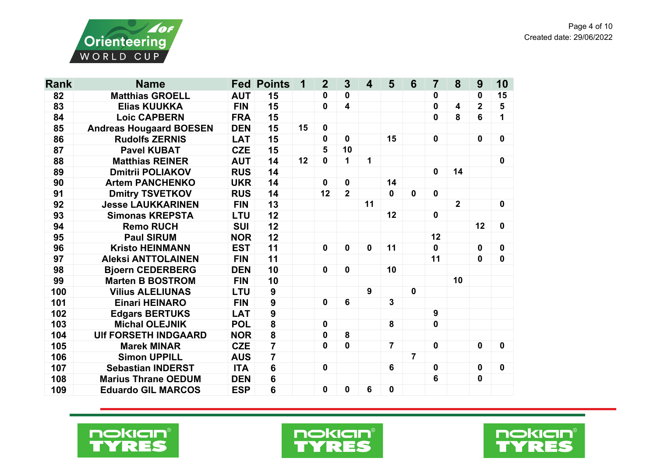

| <b>Rank</b> | <b>Name</b>                    |            | <b>Fed Points</b>       | 1  | $\overline{2}$ | $\overline{\mathbf{3}}$ | $\overline{\mathbf{4}}$ | 5              | 6              | $\overline{7}$ | 8           | 9              | 10               |
|-------------|--------------------------------|------------|-------------------------|----|----------------|-------------------------|-------------------------|----------------|----------------|----------------|-------------|----------------|------------------|
| 82          | <b>Matthias GROELL</b>         | <b>AUT</b> | 15                      |    | 0              | 0                       |                         |                |                | 0              |             | 0              | 15               |
| 83          | <b>Elias KUUKKA</b>            | <b>FIN</b> | 15                      |    | $\mathbf 0$    | $\overline{\mathbf{4}}$ |                         |                |                | 0              | 4           | $\overline{2}$ | 5                |
| 84          | <b>Loic CAPBERN</b>            | <b>FRA</b> | 15                      |    |                |                         |                         |                |                | $\mathbf 0$    | 8           | 6              | 1                |
| 85          | <b>Andreas Hougaard BOESEN</b> | <b>DEN</b> | 15                      | 15 | $\mathbf 0$    |                         |                         |                |                |                |             |                |                  |
| 86          | <b>Rudolfs ZERNIS</b>          | <b>LAT</b> | 15                      |    | 0              | $\mathbf 0$             |                         | 15             |                | $\mathbf 0$    |             | $\mathbf 0$    | $\mathbf 0$      |
| 87          | <b>Pavel KUBAT</b>             | <b>CZE</b> | 15                      |    | 5              | 10                      |                         |                |                |                |             |                |                  |
| 88          | <b>Matthias REINER</b>         | <b>AUT</b> | 14                      | 12 | $\mathbf 0$    | 1                       | 1                       |                |                |                |             |                | 0                |
| 89          | <b>Dmitrii POLIAKOV</b>        | <b>RUS</b> | 14                      |    |                |                         |                         |                |                | $\mathbf 0$    | 14          |                |                  |
| 90          | <b>Artem PANCHENKO</b>         | <b>UKR</b> | 14                      |    | $\mathbf 0$    | $\mathbf 0$             |                         | 14             |                |                |             |                |                  |
| 91          | <b>Dmitry TSVETKOV</b>         | <b>RUS</b> | 14                      |    | 12             | $\overline{2}$          |                         | $\mathbf{0}$   | $\mathbf 0$    | $\mathbf 0$    |             |                |                  |
| 92          | <b>Jesse LAUKKARINEN</b>       | <b>FIN</b> | 13                      |    |                |                         | 11                      |                |                |                | $\mathbf 2$ |                | $\mathbf 0$      |
| 93          | <b>Simonas KREPSTA</b>         | <b>LTU</b> | 12                      |    |                |                         |                         | 12             |                | $\mathbf 0$    |             |                |                  |
| 94          | <b>Remo RUCH</b>               | <b>SUI</b> | 12                      |    |                |                         |                         |                |                |                |             | 12             | $\mathbf 0$      |
| 95          | <b>Paul SIRUM</b>              | <b>NOR</b> | 12                      |    |                |                         |                         |                |                | 12             |             |                |                  |
| 96          | <b>Kristo HEINMANN</b>         | <b>EST</b> | 11                      |    | 0              | $\mathbf 0$             | 0                       | 11             |                | $\mathbf 0$    |             | $\mathbf{0}$   | 0                |
| 97          | <b>Aleksi ANTTOLAINEN</b>      | <b>FIN</b> | 11                      |    |                |                         |                         |                |                | 11             |             | $\mathbf 0$    | $\mathbf 0$      |
| 98          | <b>Bjoern CEDERBERG</b>        | <b>DEN</b> | 10                      |    | $\mathbf 0$    | $\mathbf 0$             |                         | 10             |                |                |             |                |                  |
| 99          | <b>Marten B BOSTROM</b>        | <b>FIN</b> | 10                      |    |                |                         |                         |                |                |                | 10          |                |                  |
| 100         | <b>Vilius ALELIUNAS</b>        | <b>LTU</b> | $\overline{9}$          |    |                |                         | 9                       |                | $\mathbf 0$    |                |             |                |                  |
| 101         | <b>Einari HEINARO</b>          | <b>FIN</b> | 9                       |    | $\mathbf 0$    | 6                       |                         | $\overline{3}$ |                |                |             |                |                  |
| 102         | <b>Edgars BERTUKS</b>          | <b>LAT</b> | 9                       |    |                |                         |                         |                |                | 9              |             |                |                  |
| 103         | <b>Michal OLEJNIK</b>          | <b>POL</b> | 8                       |    | 0              |                         |                         | 8              |                | $\mathbf 0$    |             |                |                  |
| 104         | <b>UIf FORSETH INDGAARD</b>    | <b>NOR</b> | $\overline{\mathbf{8}}$ |    | 0              | 8                       |                         |                |                |                |             |                |                  |
| 105         | <b>Marek MINAR</b>             | <b>CZE</b> | $\overline{7}$          |    | $\bf{0}$       | $\mathbf 0$             |                         | $\overline{7}$ |                | $\mathbf 0$    |             | $\mathbf 0$    | $\mathbf 0$      |
| 106         | <b>Simon UPPILL</b>            | <b>AUS</b> | $\overline{7}$          |    |                |                         |                         |                | $\overline{7}$ |                |             |                |                  |
| 107         | <b>Sebastian INDERST</b>       | <b>ITA</b> | $6\phantom{a}$          |    | $\pmb{0}$      |                         |                         | 6              |                | $\mathbf 0$    |             | $\mathbf 0$    | $\boldsymbol{0}$ |
| 108         | <b>Marius Thrane OEDUM</b>     | <b>DEN</b> | $6\phantom{a}$          |    |                |                         |                         |                |                | 6              |             | $\mathbf 0$    |                  |
| 109         | <b>Eduardo GIL MARCOS</b>      | <b>ESP</b> | 6                       |    | $\mathbf 0$    | 0                       | 6                       | $\mathbf 0$    |                |                |             |                |                  |



Page 4 of 10





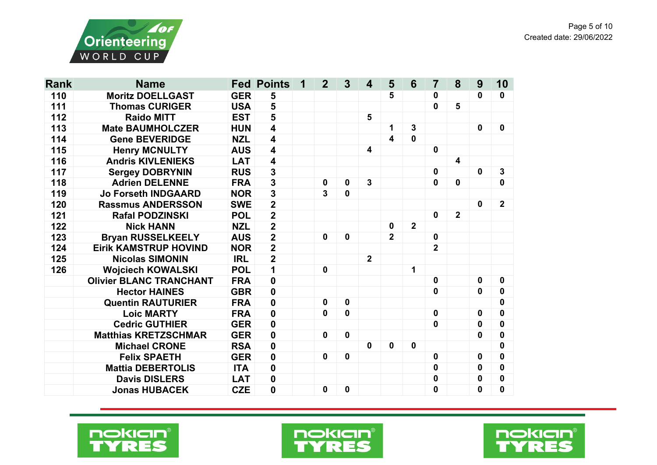



| <b>Rank</b> | <b>Name</b>                    |                      | <b>Fed Points</b>       | 1 | $\overline{2}$ | $\overline{3}$ | 4              | 5                       | 6              | 7              | 8                       | 9           | 10               |
|-------------|--------------------------------|----------------------|-------------------------|---|----------------|----------------|----------------|-------------------------|----------------|----------------|-------------------------|-------------|------------------|
| 110         | <b>Moritz DOELLGAST</b>        | <b>GER</b>           | 5                       |   |                |                |                | 5                       |                | 0              |                         | 0           | 0                |
| 111         | <b>Thomas CURIGER</b>          | <b>USA</b>           | 5                       |   |                |                |                |                         |                | $\mathbf 0$    | 5                       |             |                  |
| 112         | <b>Raido MITT</b>              | 5<br>5<br><b>EST</b> |                         |   |                |                |                |                         |                |                |                         |             |                  |
| 113         | <b>Mate BAUMHOLCZER</b>        | <b>HUN</b>           | $\overline{\mathbf{4}}$ |   |                |                |                | 1                       | $\mathbf{3}$   |                |                         | $\mathbf 0$ | $\boldsymbol{0}$ |
| 114         | <b>Gene BEVERIDGE</b>          | <b>NZL</b>           | 4                       |   |                |                |                | $\overline{\mathbf{4}}$ | $\mathbf 0$    |                |                         |             |                  |
| 115         | <b>Henry MCNULTY</b>           | <b>AUS</b>           | $\overline{\mathbf{4}}$ |   |                |                | 4              |                         |                | $\mathbf 0$    |                         |             |                  |
| 116         | <b>Andris KIVLENIEKS</b>       | <b>LAT</b>           | $\overline{\mathbf{4}}$ |   |                |                |                |                         |                |                | $\overline{\mathbf{4}}$ |             |                  |
| 117         | <b>Sergey DOBRYNIN</b>         | <b>RUS</b>           | $\overline{\mathbf{3}}$ |   |                |                |                |                         |                | $\mathbf 0$    |                         | $\mathbf 0$ | 3                |
| 118         | <b>Adrien DELENNE</b>          | <b>FRA</b>           | $\overline{\mathbf{3}}$ |   | 0              | $\mathbf 0$    | 3              |                         |                | $\mathbf 0$    | $\mathbf{0}$            |             | $\mathbf 0$      |
| 119         | <b>Jo Forseth INDGAARD</b>     | <b>NOR</b>           | $\overline{\mathbf{3}}$ |   | $\overline{3}$ | $\mathbf 0$    |                |                         |                |                |                         |             |                  |
| 120         | <b>Rassmus ANDERSSON</b>       | <b>SWE</b>           | $\overline{2}$          |   |                |                |                |                         |                |                |                         | $\mathbf 0$ | $\mathbf{2}$     |
| 121         | <b>Rafal PODZINSKI</b>         | <b>POL</b>           | $\overline{\mathbf{2}}$ |   |                |                |                |                         |                | $\mathbf 0$    | $\overline{2}$          |             |                  |
| 122         | <b>Nick HANN</b>               | <b>NZL</b>           | $\overline{2}$          |   |                |                |                | $\mathbf 0$             | $\overline{2}$ |                |                         |             |                  |
| 123         | <b>Bryan RUSSELKEELY</b>       | <b>AUS</b>           | $\overline{\mathbf{2}}$ |   | 0              | $\mathbf 0$    |                | $\overline{2}$          |                | $\mathbf 0$    |                         |             |                  |
| 124         | <b>Eirik KAMSTRUP HOVIND</b>   | <b>NOR</b>           | $\overline{2}$          |   |                |                |                |                         |                | $\overline{2}$ |                         |             |                  |
| 125         | <b>Nicolas SIMONIN</b>         | <b>IRL</b>           | $\overline{\mathbf{2}}$ |   |                |                | $\overline{2}$ |                         |                |                |                         |             |                  |
| 126         | <b>Wojciech KOWALSKI</b>       | <b>POL</b>           | 1                       |   | 0              |                |                |                         | 1              |                |                         |             |                  |
|             | <b>Olivier BLANC TRANCHANT</b> | <b>FRA</b>           | $\mathbf 0$             |   |                |                |                |                         |                | $\mathbf 0$    |                         | 0           | 0                |
|             | <b>Hector HAINES</b>           | <b>GBR</b>           | $\mathbf 0$             |   |                |                |                |                         |                | $\mathbf 0$    |                         | 0           | $\mathbf 0$      |
|             | <b>Quentin RAUTURIER</b>       | <b>FRA</b>           | $\mathbf 0$             |   | 0              | $\mathbf 0$    |                |                         |                |                |                         |             | 0                |
|             | <b>Loic MARTY</b>              | <b>FRA</b>           | $\mathbf 0$             |   | $\mathbf{0}$   | $\mathbf 0$    |                |                         |                | $\mathbf 0$    |                         | 0           | 0                |
|             | <b>Cedric GUTHIER</b>          | <b>GER</b>           | $\pmb{0}$               |   |                |                |                |                         |                | $\mathbf 0$    |                         | 0           | $\bf{0}$         |
|             | <b>Matthias KRETZSCHMAR</b>    | <b>GER</b>           | $\mathbf 0$             |   | $\mathbf 0$    | $\mathbf 0$    |                |                         |                |                |                         | 0           | 0                |
|             | <b>Michael CRONE</b>           | <b>RSA</b>           | $\mathbf 0$             |   |                |                | $\mathbf 0$    | $\mathbf 0$             | $\mathbf 0$    |                |                         |             | 0                |
|             | <b>Felix SPAETH</b>            | <b>GER</b>           | $\boldsymbol{0}$        |   | $\mathbf 0$    | $\mathbf 0$    |                |                         |                | $\mathbf 0$    |                         | 0           | 0                |
|             | <b>Mattia DEBERTOLIS</b>       | <b>ITA</b>           | $\mathbf 0$             |   |                |                |                |                         |                | 0              |                         | 0           | $\mathbf 0$      |
|             | <b>Davis DISLERS</b>           | <b>LAT</b>           | $\mathbf 0$             |   |                |                |                |                         |                | 0              |                         | 0           | $\bf{0}$         |
|             | <b>Jonas HUBACEK</b>           | <b>CZE</b>           | $\mathbf 0$             |   | $\mathbf 0$    | $\mathbf 0$    |                |                         |                | 0              |                         | 0           | $\mathbf 0$      |





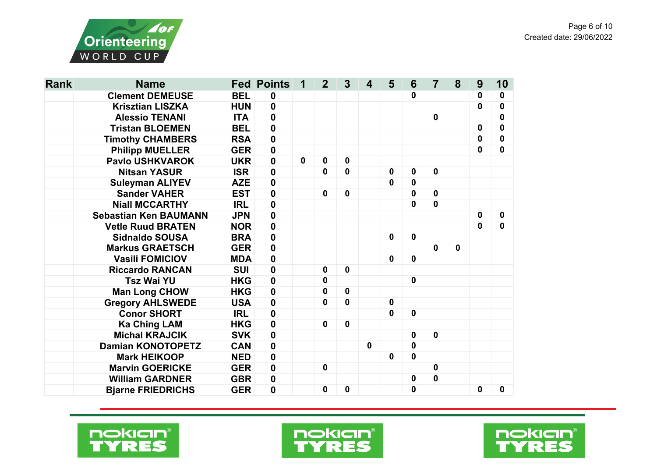

| <b>Rank</b> | <b>Name</b>                  |            | <b>Fed Points</b> | 1           | $\overline{2}$   | 3           | $\boldsymbol{4}$ | 5            | 6                | $\overline{7}$ | 8           | 9           | 10               |
|-------------|------------------------------|------------|-------------------|-------------|------------------|-------------|------------------|--------------|------------------|----------------|-------------|-------------|------------------|
|             | <b>Clement DEMEUSE</b>       | <b>BEL</b> | $\boldsymbol{0}$  |             |                  |             |                  |              | $\mathbf 0$      |                |             | 0           | $\boldsymbol{0}$ |
|             | <b>Krisztian LISZKA</b>      | <b>HUN</b> | $\mathbf 0$       |             |                  |             |                  |              |                  |                |             | 0           | $\bf{0}$         |
|             | <b>Alessio TENANI</b>        | <b>ITA</b> | $\mathbf 0$       |             |                  |             |                  |              |                  | $\mathbf 0$    |             |             | $\bf{0}$         |
|             | <b>Tristan BLOEMEN</b>       | <b>BEL</b> | $\mathbf 0$       |             |                  |             |                  |              |                  |                |             | $\mathbf 0$ | $\boldsymbol{0}$ |
|             | <b>Timothy CHAMBERS</b>      | <b>RSA</b> | $\mathbf 0$       |             |                  |             |                  |              |                  |                |             | $\mathbf 0$ | $\mathbf 0$      |
|             | <b>Philipp MUELLER</b>       | <b>GER</b> | $\boldsymbol{0}$  |             |                  |             |                  |              |                  |                |             | $\mathbf 0$ | $\mathbf 0$      |
|             | <b>Pavlo USHKVAROK</b>       | <b>UKR</b> | $\boldsymbol{0}$  | $\mathbf 0$ | $\boldsymbol{0}$ | 0           |                  |              |                  |                |             |             |                  |
|             | <b>Nitsan YASUR</b>          | <b>ISR</b> | $\mathbf 0$       |             | 0                | 0           |                  | $\mathbf 0$  | $\mathbf 0$      | $\mathbf 0$    |             |             |                  |
|             | <b>Suleyman ALIYEV</b>       | <b>AZE</b> | $\mathbf 0$       |             |                  |             |                  | $\mathbf 0$  | $\mathbf 0$      |                |             |             |                  |
|             | <b>Sander VAHER</b>          | <b>EST</b> | $\mathbf 0$       |             | $\boldsymbol{0}$ | $\mathbf 0$ |                  |              | $\mathbf 0$      | $\mathbf 0$    |             |             |                  |
|             | <b>Niall MCCARTHY</b>        | <b>IRL</b> | $\mathbf 0$       |             |                  |             |                  |              | $\mathbf 0$      | $\mathbf 0$    |             |             |                  |
|             | <b>Sebastian Ken BAUMANN</b> | <b>JPN</b> | $\mathbf 0$       |             |                  |             |                  |              |                  |                |             | $\mathbf 0$ | $\mathbf 0$      |
|             | <b>Vetle Ruud BRATEN</b>     | <b>NOR</b> | $\mathbf 0$       |             |                  |             |                  |              |                  |                |             | $\mathbf 0$ | $\mathbf 0$      |
|             | <b>Sidnaldo SOUSA</b>        | <b>BRA</b> | $\mathbf 0$       |             |                  |             |                  | $\mathbf 0$  | $\mathbf 0$      |                |             |             |                  |
|             | <b>Markus GRAETSCH</b>       | <b>GER</b> | $\pmb{0}$         |             |                  |             |                  |              |                  | $\mathbf 0$    | $\mathbf 0$ |             |                  |
|             | <b>Vasili FOMICIOV</b>       | <b>MDA</b> | $\mathbf 0$       |             |                  |             |                  | $\mathbf 0$  | $\mathbf 0$      |                |             |             |                  |
|             | <b>Riccardo RANCAN</b>       | <b>SUI</b> | $\mathbf 0$       |             | $\boldsymbol{0}$ | $\mathbf 0$ |                  |              |                  |                |             |             |                  |
|             | <b>Tsz Wai YU</b>            | <b>HKG</b> | $\mathbf 0$       |             | 0                |             |                  |              | $\mathbf 0$      |                |             |             |                  |
|             | <b>Man Long CHOW</b>         | <b>HKG</b> | $\mathbf 0$       |             | 0                | 0           |                  |              |                  |                |             |             |                  |
|             | <b>Gregory AHLSWEDE</b>      | <b>USA</b> | 0                 |             | 0                | 0           |                  | $\mathbf 0$  |                  |                |             |             |                  |
|             | <b>Conor SHORT</b>           | <b>IRL</b> | $\mathbf 0$       |             |                  |             |                  | $\mathbf{0}$ | $\mathbf 0$      |                |             |             |                  |
|             | <b>Ka Ching LAM</b>          | <b>HKG</b> | $\mathbf 0$       |             | $\boldsymbol{0}$ | $\mathbf 0$ |                  |              |                  |                |             |             |                  |
|             | <b>Michal KRAJCIK</b>        | <b>SVK</b> | $\mathbf 0$       |             |                  |             |                  |              | $\mathbf 0$      | $\mathbf 0$    |             |             |                  |
|             | <b>Damian KONOTOPETZ</b>     | <b>CAN</b> | $\mathbf 0$       |             |                  |             | $\mathbf 0$      |              | $\mathbf 0$      |                |             |             |                  |
|             | <b>Mark HEIKOOP</b>          | <b>NED</b> | $\mathbf 0$       |             |                  |             |                  | $\mathbf 0$  | $\mathbf 0$      |                |             |             |                  |
|             | <b>Marvin GOERICKE</b>       | <b>GER</b> | $\mathbf 0$       |             | $\bf{0}$         |             |                  |              |                  | $\mathbf 0$    |             |             |                  |
|             | <b>William GARDNER</b>       | <b>GBR</b> | 0                 |             |                  |             |                  |              | $\boldsymbol{0}$ | $\mathbf 0$    |             |             |                  |
|             | <b>Bjarne FRIEDRICHS</b>     | <b>GER</b> | $\mathbf 0$       |             | 0                | 0           |                  |              | $\mathbf 0$      |                |             | 0           | $\mathbf 0$      |





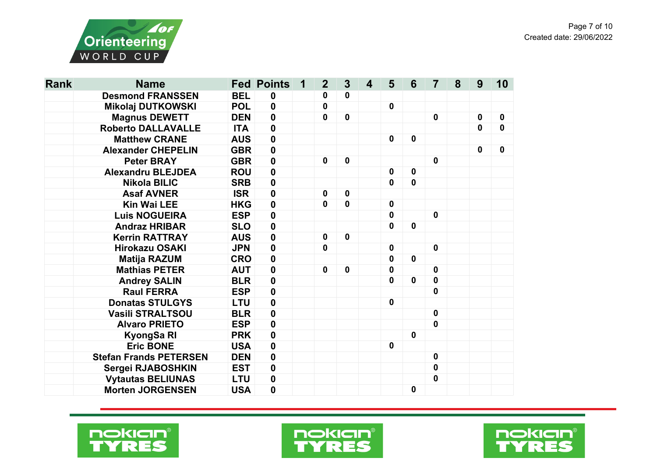

| <b>Rank</b> | <b>Name</b>                   |            | <b>Fed Points</b> | 1 | $\boldsymbol{2}$ | $\mathbf{3}$ | $\overline{\mathbf{4}}$ | $5\phantom{1}$ | 6                | $\overline{7}$   | 8 | 9           | 10 |
|-------------|-------------------------------|------------|-------------------|---|------------------|--------------|-------------------------|----------------|------------------|------------------|---|-------------|----|
|             | <b>Desmond FRANSSEN</b>       | <b>BEL</b> | 0                 |   | 0                | 0            |                         |                |                  |                  |   |             |    |
|             | <b>Mikolaj DUTKOWSKI</b>      | <b>POL</b> | $\mathbf 0$       |   | 0                |              |                         | $\mathbf 0$    |                  |                  |   |             |    |
|             | <b>Magnus DEWETT</b>          | <b>DEN</b> | $\mathbf 0$       |   | $\mathbf 0$      | $\mathbf 0$  |                         |                |                  | $\mathbf 0$      |   | $\mathbf 0$ | 0  |
|             | <b>Roberto DALLAVALLE</b>     | <b>ITA</b> | $\mathbf 0$       |   |                  |              |                         |                |                  |                  |   | $\mathbf 0$ | 0  |
|             | <b>Matthew CRANE</b>          | <b>AUS</b> | $\mathbf 0$       |   |                  |              |                         | $\mathbf 0$    | $\mathbf 0$      |                  |   |             |    |
|             | <b>Alexander CHEPELIN</b>     | <b>GBR</b> | $\mathbf 0$       |   |                  |              |                         |                |                  |                  |   | $\mathbf 0$ | 0  |
|             | <b>Peter BRAY</b>             | <b>GBR</b> | $\pmb{0}$         |   | 0                | $\mathbf 0$  |                         |                |                  | $\mathbf 0$      |   |             |    |
|             | <b>Alexandru BLEJDEA</b>      | <b>ROU</b> | $\mathbf 0$       |   |                  |              |                         | $\mathbf 0$    | $\mathbf 0$      |                  |   |             |    |
|             | <b>Nikola BILIC</b>           | <b>SRB</b> | $\pmb{0}$         |   |                  |              |                         | $\mathbf 0$    | $\mathbf 0$      |                  |   |             |    |
|             | <b>Asaf AVNER</b>             | <b>ISR</b> | $\mathbf 0$       |   | 0                | $\mathbf 0$  |                         |                |                  |                  |   |             |    |
|             | <b>Kin Wai LEE</b>            | <b>HKG</b> | $\pmb{0}$         |   | $\mathbf 0$      | 0            |                         | $\mathbf 0$    |                  |                  |   |             |    |
|             | <b>Luis NOGUEIRA</b>          | <b>ESP</b> | $\mathbf 0$       |   |                  |              |                         | 0              |                  | $\mathbf 0$      |   |             |    |
|             | <b>Andraz HRIBAR</b>          | <b>SLO</b> | $\mathbf 0$       |   |                  |              |                         | 0              | $\mathbf 0$      |                  |   |             |    |
|             | <b>Kerrin RATTRAY</b>         | <b>AUS</b> | $\pmb{0}$         |   | 0                | $\mathbf 0$  |                         |                |                  |                  |   |             |    |
|             | <b>Hirokazu OSAKI</b>         | <b>JPN</b> | $\mathbf 0$       |   | $\mathbf 0$      |              |                         | $\mathbf 0$    |                  | $\mathbf 0$      |   |             |    |
|             | <b>Matija RAZUM</b>           | <b>CRO</b> | $\pmb{0}$         |   |                  |              |                         | 0              | $\mathbf 0$      |                  |   |             |    |
|             | <b>Mathias PETER</b>          | <b>AUT</b> | $\pmb{0}$         |   | 0                | $\mathbf 0$  |                         | $\mathbf 0$    |                  | $\mathbf 0$      |   |             |    |
|             | <b>Andrey SALIN</b>           | <b>BLR</b> | $\pmb{0}$         |   |                  |              |                         | 0              | $\mathbf 0$      | $\mathbf 0$      |   |             |    |
|             | <b>Raul FERRA</b>             | <b>ESP</b> | $\mathbf 0$       |   |                  |              |                         |                |                  | 0                |   |             |    |
|             | <b>Donatas STULGYS</b>        | <b>LTU</b> | $\mathbf 0$       |   |                  |              |                         | $\mathbf 0$    |                  |                  |   |             |    |
|             | Vasili STRALTSOU              | <b>BLR</b> | $\pmb{0}$         |   |                  |              |                         |                |                  | $\mathbf 0$      |   |             |    |
|             | <b>Alvaro PRIETO</b>          | <b>ESP</b> | $\mathbf 0$       |   |                  |              |                         |                |                  | $\mathbf 0$      |   |             |    |
|             | KyongSa RI                    | <b>PRK</b> | $\mathbf 0$       |   |                  |              |                         |                | $\mathbf 0$      |                  |   |             |    |
|             | <b>Eric BONE</b>              | <b>USA</b> | $\pmb{0}$         |   |                  |              |                         | $\mathbf 0$    |                  |                  |   |             |    |
|             | <b>Stefan Frands PETERSEN</b> | <b>DEN</b> | $\pmb{0}$         |   |                  |              |                         |                |                  | $\mathbf 0$      |   |             |    |
|             | Sergei RJABOSHKIN             | <b>EST</b> | $\mathbf 0$       |   |                  |              |                         |                |                  | $\mathbf 0$      |   |             |    |
|             | <b>Vytautas BELIUNAS</b>      | <b>LTU</b> | $\pmb{0}$         |   |                  |              |                         |                |                  | $\boldsymbol{0}$ |   |             |    |
|             | <b>Morten JORGENSEN</b>       | <b>USA</b> | $\mathbf 0$       |   |                  |              |                         |                | $\boldsymbol{0}$ |                  |   |             |    |





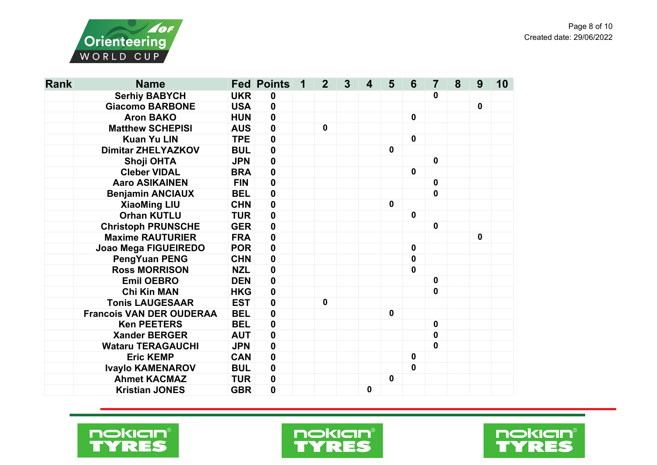

| <b>Rank</b> | <b>Name</b>                     |            | <b>Fed Points</b> | 1 | $\overline{2}$ | 3 | 4 | 5           | 6           | $\overline{7}$ | 8 | 9            | 10 |
|-------------|---------------------------------|------------|-------------------|---|----------------|---|---|-------------|-------------|----------------|---|--------------|----|
|             | <b>Serhiy BABYCH</b>            | <b>UKR</b> | $\boldsymbol{0}$  |   |                |   |   |             |             | 0              |   |              |    |
|             | <b>Giacomo BARBONE</b>          | <b>USA</b> | $\boldsymbol{0}$  |   |                |   |   |             |             |                |   | $\mathbf{0}$ |    |
|             | <b>Aron BAKO</b>                | <b>HUN</b> | $\boldsymbol{0}$  |   |                |   |   |             | $\mathbf 0$ |                |   |              |    |
|             | <b>Matthew SCHEPISI</b>         | <b>AUS</b> | $\mathbf 0$       |   | $\mathbf 0$    |   |   |             |             |                |   |              |    |
|             | <b>Kuan Yu LIN</b>              | <b>TPE</b> | $\mathbf 0$       |   |                |   |   |             | $\mathbf 0$ |                |   |              |    |
|             | <b>Dimitar ZHELYAZKOV</b>       | <b>BUL</b> | $\mathbf 0$       |   |                |   |   | $\mathbf 0$ |             |                |   |              |    |
|             | <b>Shoji OHTA</b>               | <b>JPN</b> | $\boldsymbol{0}$  |   |                |   |   |             |             | $\mathbf 0$    |   |              |    |
|             | <b>Cleber VIDAL</b>             | <b>BRA</b> | $\mathbf 0$       |   |                |   |   |             | $\mathbf 0$ |                |   |              |    |
|             | <b>Aaro ASIKAINEN</b>           | <b>FIN</b> | $\boldsymbol{0}$  |   |                |   |   |             |             | $\mathbf 0$    |   |              |    |
|             | <b>Benjamin ANCIAUX</b>         | <b>BEL</b> | $\boldsymbol{0}$  |   |                |   |   |             |             | $\mathbf 0$    |   |              |    |
|             | <b>XiaoMing LIU</b>             | <b>CHN</b> | $\mathbf 0$       |   |                |   |   | $\mathbf 0$ |             |                |   |              |    |
|             | <b>Orhan KUTLU</b>              | <b>TUR</b> | $\mathbf 0$       |   |                |   |   |             | $\mathbf 0$ |                |   |              |    |
|             | <b>Christoph PRUNSCHE</b>       | <b>GER</b> | $\boldsymbol{0}$  |   |                |   |   |             |             | $\mathbf 0$    |   |              |    |
|             | <b>Maxime RAUTURIER</b>         | <b>FRA</b> | $\mathbf 0$       |   |                |   |   |             |             |                |   | $\mathbf 0$  |    |
|             | Joao Mega FIGUEIREDO            | <b>POR</b> | $\mathbf 0$       |   |                |   |   |             | $\mathbf 0$ |                |   |              |    |
|             | <b>PengYuan PENG</b>            | <b>CHN</b> | $\boldsymbol{0}$  |   |                |   |   |             | $\mathbf 0$ |                |   |              |    |
|             | <b>Ross MORRISON</b>            | <b>NZL</b> | $\boldsymbol{0}$  |   |                |   |   |             | $\mathbf 0$ |                |   |              |    |
|             | <b>Emil OEBRO</b>               | <b>DEN</b> | $\mathbf 0$       |   |                |   |   |             |             | $\mathbf 0$    |   |              |    |
|             | <b>Chi Kin MAN</b>              | <b>HKG</b> | $\boldsymbol{0}$  |   |                |   |   |             |             | 0              |   |              |    |
|             | <b>Tonis LAUGESAAR</b>          | <b>EST</b> | $\boldsymbol{0}$  |   | $\mathbf 0$    |   |   |             |             |                |   |              |    |
|             | <b>Francois VAN DER OUDERAA</b> | <b>BEL</b> | $\mathbf 0$       |   |                |   |   | $\mathbf 0$ |             |                |   |              |    |
|             | <b>Ken PEETERS</b>              | <b>BEL</b> | $\mathbf 0$       |   |                |   |   |             |             | $\mathbf 0$    |   |              |    |
|             | <b>Xander BERGER</b>            | <b>AUT</b> | $\mathbf 0$       |   |                |   |   |             |             | $\mathbf 0$    |   |              |    |
|             | <b>Wataru TERAGAUCHI</b>        | <b>JPN</b> | $\boldsymbol{0}$  |   |                |   |   |             |             | $\mathbf 0$    |   |              |    |
|             | <b>Eric KEMP</b>                | <b>CAN</b> | $\mathbf 0$       |   |                |   |   |             | 0           |                |   |              |    |
|             | <b>Ivaylo KAMENAROV</b>         | <b>BUL</b> | $\mathbf 0$       |   |                |   |   |             | $\mathbf 0$ |                |   |              |    |
|             | <b>Ahmet KACMAZ</b>             | <b>TUR</b> | $\boldsymbol{0}$  |   |                |   |   | $\mathbf 0$ |             |                |   |              |    |
|             | <b>Kristian JONES</b>           | <b>GBR</b> | $\mathbf 0$       |   |                |   | 0 |             |             |                |   |              |    |





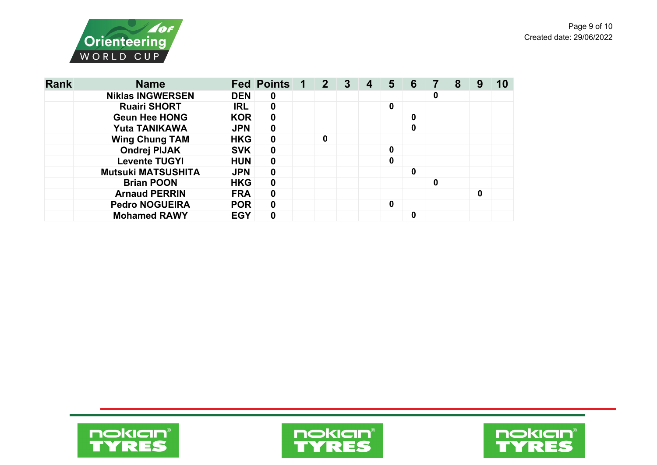

| <b>Rank</b> | <b>Name</b>               |            | <b>Fed Points 1</b> | $\begin{array}{ c c c c c }\n\hline\n2 & \mbox{p} & \mbox{p}\n\end{array}$ | $\mathbf{3}$ | 4 | 5 | 6           |   | 8 |   |  |
|-------------|---------------------------|------------|---------------------|----------------------------------------------------------------------------|--------------|---|---|-------------|---|---|---|--|
|             | <b>Niklas INGWERSEN</b>   | <b>DEN</b> | $\mathbf 0$         |                                                                            |              |   |   |             | 0 |   |   |  |
|             | <b>Ruairi SHORT</b>       | <b>IRL</b> | $\boldsymbol{0}$    |                                                                            |              |   | 0 |             |   |   |   |  |
|             | <b>Geun Hee HONG</b>      | <b>KOR</b> | $\mathbf 0$         |                                                                            |              |   |   | $\mathbf 0$ |   |   |   |  |
|             | <b>Yuta TANIKAWA</b>      | <b>JPN</b> | $\mathbf 0$         |                                                                            |              |   |   | $\mathbf 0$ |   |   |   |  |
|             | <b>Wing Chung TAM</b>     | <b>HKG</b> | $\mathbf 0$         | $\mathbf 0$                                                                |              |   |   |             |   |   |   |  |
|             | <b>Ondrej PIJAK</b>       | <b>SVK</b> | $\mathbf 0$         |                                                                            |              |   | 0 |             |   |   |   |  |
|             | <b>Levente TUGYI</b>      | <b>HUN</b> | $\mathbf 0$         |                                                                            |              |   | 0 |             |   |   |   |  |
|             | <b>Mutsuki MATSUSHITA</b> | <b>JPN</b> | $\boldsymbol{0}$    |                                                                            |              |   |   | $\mathbf 0$ |   |   |   |  |
|             | <b>Brian POON</b>         | <b>HKG</b> | $\mathbf 0$         |                                                                            |              |   |   |             | 0 |   |   |  |
|             | <b>Arnaud PERRIN</b>      | <b>FRA</b> | $\mathbf 0$         |                                                                            |              |   |   |             |   |   | 0 |  |
|             | <b>Pedro NOGUEIRA</b>     | <b>POR</b> | $\mathbf 0$         |                                                                            |              |   | 0 |             |   |   |   |  |
|             | <b>Mohamed RAWY</b>       | <b>EGY</b> | 0                   |                                                                            |              |   |   | 0           |   |   |   |  |